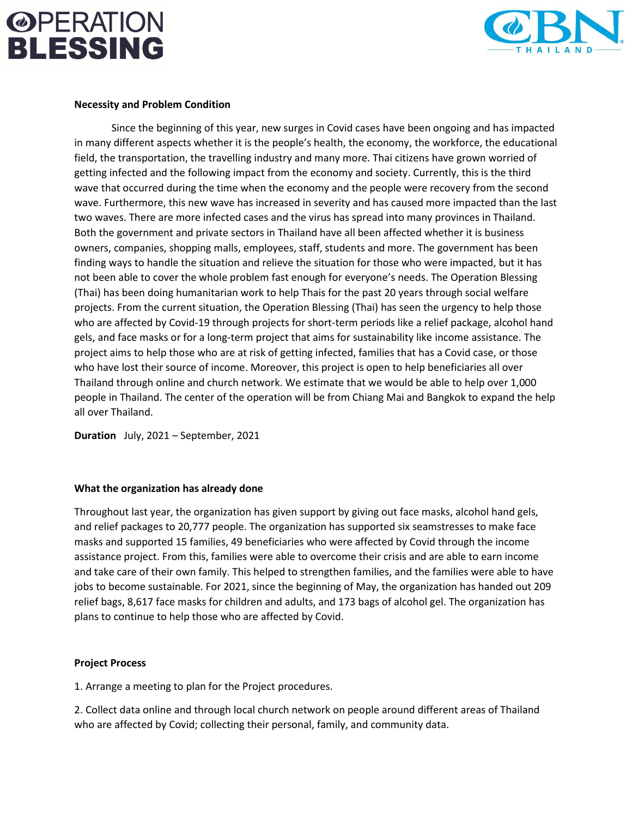### **@PERATION BLESSING**



#### **Necessity and Problem Condition**

Since the beginning of this year, new surges in Covid cases have been ongoing and has impacted in many different aspects whether it is the people's health, the economy, the workforce, the educational field, the transportation, the travelling industry and many more. Thai citizens have grown worried of getting infected and the following impact from the economy and society. Currently, this is the third wave that occurred during the time when the economy and the people were recovery from the second wave. Furthermore, this new wave has increased in severity and has caused more impacted than the last two waves. There are more infected cases and the virus has spread into many provinces in Thailand. Both the government and private sectors in Thailand have all been affected whether it is business owners, companies, shopping malls, employees, staff, students and more. The government has been finding ways to handle the situation and relieve the situation for those who were impacted, but it has not been able to cover the whole problem fast enough for everyone's needs. The Operation Blessing (Thai) has been doing humanitarian work to help Thais for the past 20 years through social welfare projects. From the current situation, the Operation Blessing (Thai) has seen the urgency to help those who are affected by Covid-19 through projects for short-term periods like a relief package, alcohol hand gels, and face masks or for a long-term project that aims for sustainability like income assistance. The project aims to help those who are at risk of getting infected, families that has a Covid case, or those who have lost their source of income. Moreover, this project is open to help beneficiaries all over Thailand through online and church network. We estimate that we would be able to help over 1,000 people in Thailand. The center of the operation will be from Chiang Mai and Bangkok to expand the help all over Thailand.

**Duration** July, 2021 – September, 2021

#### **What the organization has already done**

Throughout last year, the organization has given support by giving out face masks, alcohol hand gels, and relief packages to 20,777 people. The organization has supported six seamstresses to make face masks and supported 15 families, 49 beneficiaries who were affected by Covid through the income assistance project. From this, families were able to overcome their crisis and are able to earn income and take care of their own family. This helped to strengthen families, and the families were able to have jobs to become sustainable. For 2021, since the beginning of May, the organization has handed out 209 relief bags, 8,617 face masks for children and adults, and 173 bags of alcohol gel. The organization has plans to continue to help those who are affected by Covid.

#### **Project Process**

1. Arrange a meeting to plan for the Project procedures.

2. Collect data online and through local church network on people around different areas of Thailand who are affected by Covid; collecting their personal, family, and community data.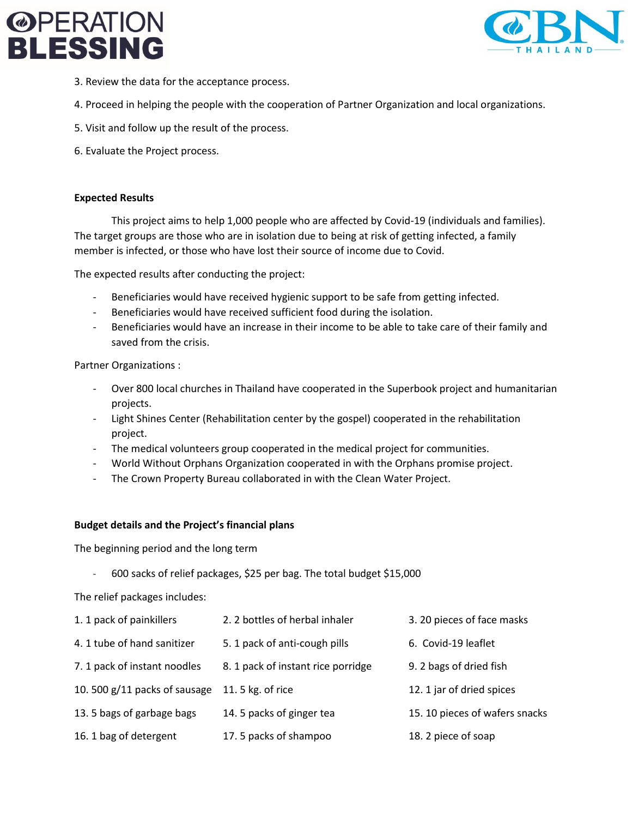### **@PERATION LESSING**



- 3. Review the data for the acceptance process.
- 4. Proceed in helping the people with the cooperation of Partner Organization and local organizations.
- 5. Visit and follow up the result of the process.
- 6. Evaluate the Project process.

#### **Expected Results**

This project aims to help 1,000 people who are affected by Covid-19 (individuals and families). The target groups are those who are in isolation due to being at risk of getting infected, a family member is infected, or those who have lost their source of income due to Covid.

The expected results after conducting the project:

- Beneficiaries would have received hygienic support to be safe from getting infected.
- Beneficiaries would have received sufficient food during the isolation.
- Beneficiaries would have an increase in their income to be able to take care of their family and saved from the crisis.

Partner Organizations :

- Over 800 local churches in Thailand have cooperated in the Superbook project and humanitarian projects.
- Light Shines Center (Rehabilitation center by the gospel) cooperated in the rehabilitation project.
- The medical volunteers group cooperated in the medical project for communities.
- World Without Orphans Organization cooperated in with the Orphans promise project.
- The Crown Property Bureau collaborated in with the Clean Water Project.

#### **Budget details and the Project's financial plans**

The beginning period and the long term

- 600 sacks of relief packages, \$25 per bag. The total budget \$15,000

The relief packages includes:

| 1. 1 pack of painkillers       | 2. 2 bottles of herbal inhaler     | 3. 20 pieces of face masks     |
|--------------------------------|------------------------------------|--------------------------------|
| 4. 1 tube of hand sanitizer    | 5. 1 pack of anti-cough pills      | 6. Covid-19 leaflet            |
| 7. 1 pack of instant noodles   | 8. 1 pack of instant rice porridge | 9. 2 bags of dried fish        |
| 10.500 $g/11$ packs of sausage | 11.5 kg. of rice                   | 12. 1 jar of dried spices      |
| 13.5 bags of garbage bags      | 14. 5 packs of ginger tea          | 15. 10 pieces of wafers snacks |
| 16. 1 bag of detergent         | 17.5 packs of shampoo              | 18. 2 piece of soap            |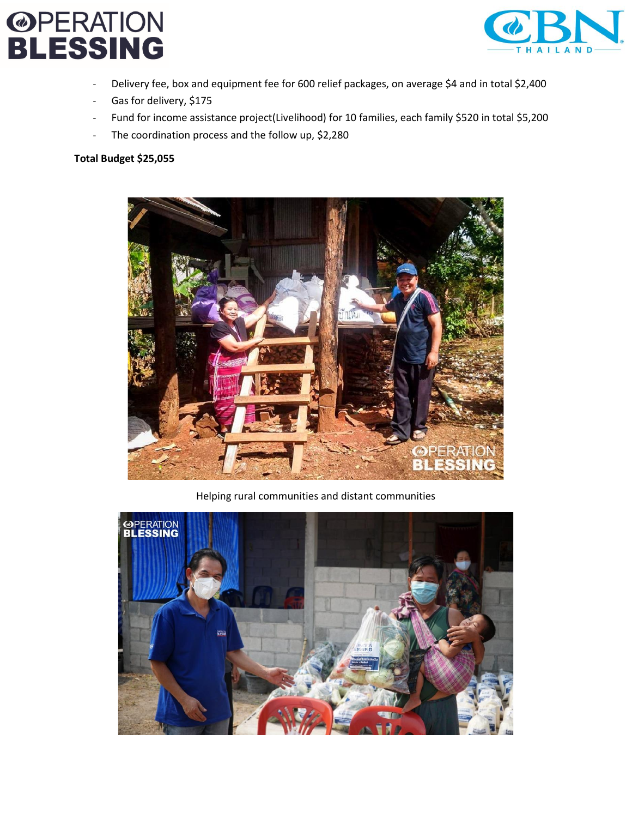## **@PERATION<br>BLESSING**



- Delivery fee, box and equipment fee for 600 relief packages, on average \$4 and in total \$2,400
- Gas for delivery, \$175
- Fund for income assistance project(Livelihood) for 10 families, each family \$520 in total \$5,200
- The coordination process and the follow up, \$2,280

#### **Total Budget \$25,055**



Helping rural communities and distant communities

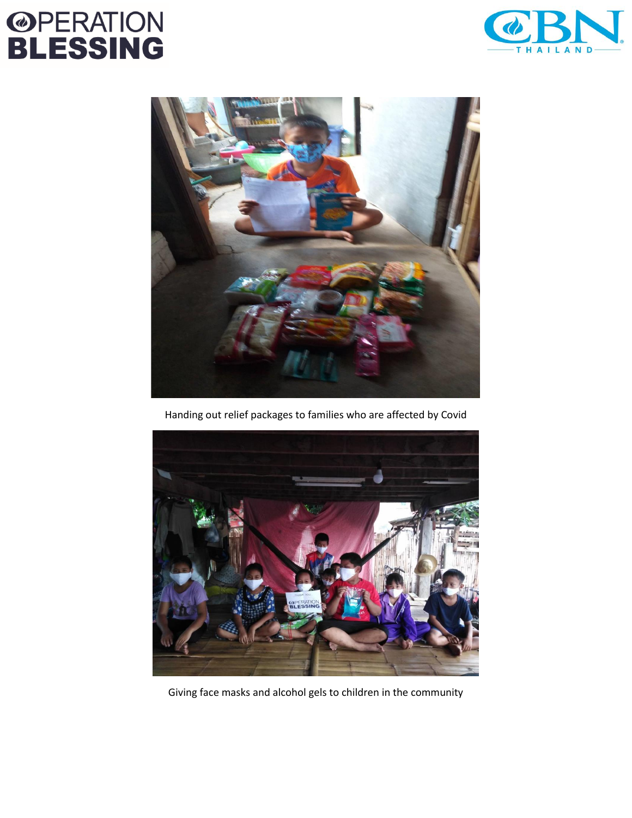## **@PERATION<br>BLESSING**





Handing out relief packages to families who are affected by Covid



Giving face masks and alcohol gels to children in the community